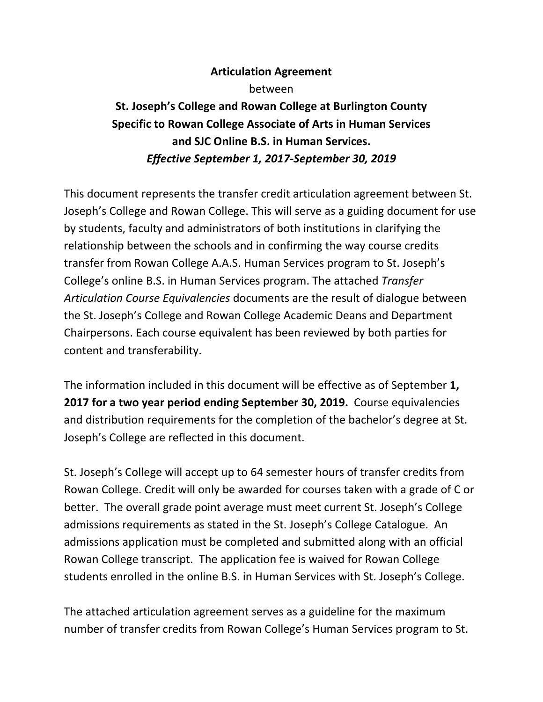## **Articulation Agreement**

between

## **St. Joseph's College and Rowan College at Burlington County Specific to Rowan College Associate of Arts in Human Services and SJC Online B.S. in Human Services.**  *Effective September 1, 2017‐September 30, 2019*

This document represents the transfer credit articulation agreement between St. Joseph's College and Rowan College. This will serve as a guiding document for use by students, faculty and administrators of both institutions in clarifying the relationship between the schools and in confirming the way course credits transfer from Rowan College A.A.S. Human Services program to St. Joseph's College's online B.S. in Human Services program. The attached *Transfer Articulation Course Equivalencies* documents are the result of dialogue between the St. Joseph's College and Rowan College Academic Deans and Department Chairpersons. Each course equivalent has been reviewed by both parties for content and transferability.

The information included in this document will be effective as of September **1, 2017 for a two year period ending September 30, 2019.** Course equivalencies and distribution requirements for the completion of the bachelor's degree at St. Joseph's College are reflected in this document.

St. Joseph's College will accept up to 64 semester hours of transfer credits from Rowan College. Credit will only be awarded for courses taken with a grade of C or better. The overall grade point average must meet current St. Joseph's College admissions requirements as stated in the St. Joseph's College Catalogue. An admissions application must be completed and submitted along with an official Rowan College transcript. The application fee is waived for Rowan College students enrolled in the online B.S. in Human Services with St. Joseph's College.

The attached articulation agreement serves as a guideline for the maximum number of transfer credits from Rowan College's Human Services program to St.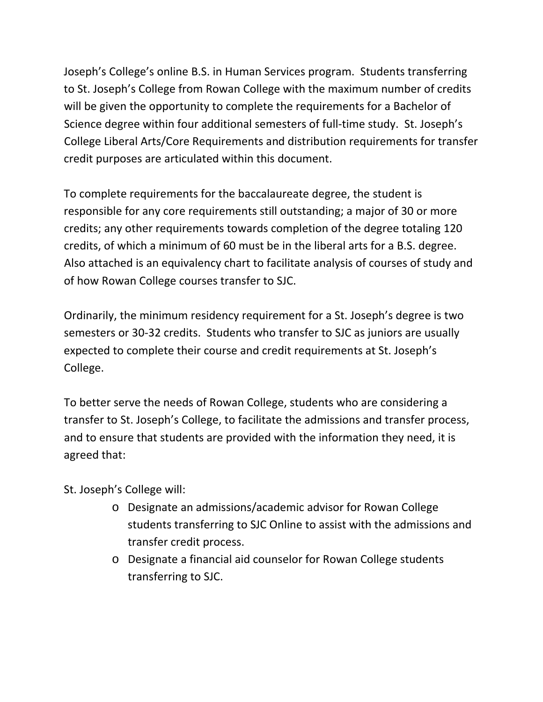Joseph's College's online B.S. in Human Services program. Students transferring to St. Joseph's College from Rowan College with the maximum number of credits will be given the opportunity to complete the requirements for a Bachelor of Science degree within four additional semesters of full-time study. St. Joseph's College Liberal Arts/Core Requirements and distribution requirements for transfer credit purposes are articulated within this document.

To complete requirements for the baccalaureate degree, the student is responsible for any core requirements still outstanding; a major of 30 or more credits; any other requirements towards completion of the degree totaling 120 credits, of which a minimum of 60 must be in the liberal arts for a B.S. degree. Also attached is an equivalency chart to facilitate analysis of courses of study and of how Rowan College courses transfer to SJC.

Ordinarily, the minimum residency requirement for a St. Joseph's degree is two semesters or 30‐32 credits. Students who transfer to SJC as juniors are usually expected to complete their course and credit requirements at St. Joseph's College.

To better serve the needs of Rowan College, students who are considering a transfer to St. Joseph's College, to facilitate the admissions and transfer process, and to ensure that students are provided with the information they need, it is agreed that:

St. Joseph's College will:

- o Designate an admissions/academic advisor for Rowan College students transferring to SJC Online to assist with the admissions and transfer credit process.
- o Designate a financial aid counselor for Rowan College students transferring to SJC.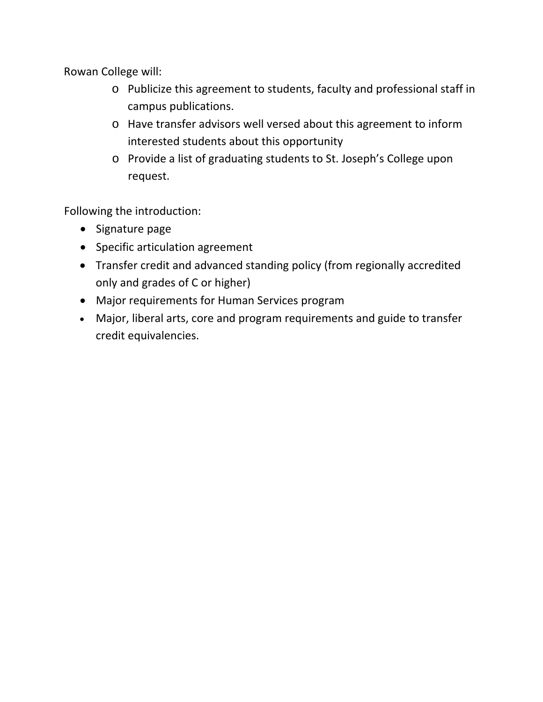Rowan College will:

- o Publicize this agreement to students, faculty and professional staff in campus publications.
- o Have transfer advisors well versed about this agreement to inform interested students about this opportunity
- o Provide a list of graduating students to St. Joseph's College upon request.

Following the introduction:

- Signature page
- Specific articulation agreement
- Transfer credit and advanced standing policy (from regionally accredited only and grades of C or higher)
- Major requirements for Human Services program
- Major, liberal arts, core and program requirements and guide to transfer credit equivalencies.